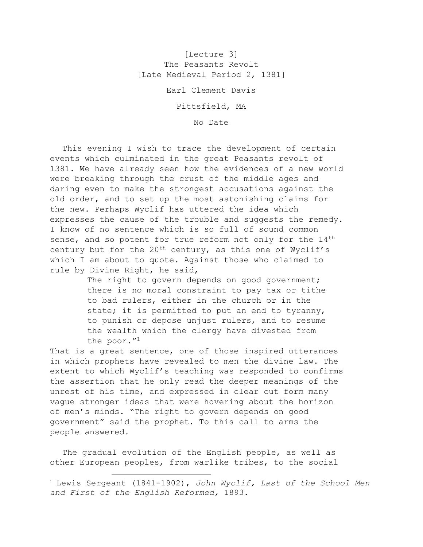[Lecture 3] The Peasants Revolt [Late Medieval Period 2, 1381]

Earl Clement Davis

Pittsfield, MA

No Date

This evening I wish to trace the development of certain events which culminated in the great Peasants revolt of 1381. We have already seen how the evidences of a new world were breaking through the crust of the middle ages and daring even to make the strongest accusations against the old order, and to set up the most astonishing claims for the new. Perhaps Wyclif has uttered the idea which expresses the cause of the trouble and suggests the remedy. I know of no sentence which is so full of sound common sense, and so potent for true reform not only for the 14<sup>th</sup> century but for the  $20<sup>th</sup>$  century, as this one of Wyclif's which I am about to quote. Against those who claimed to rule by Divine Right, he said,

> The right to govern depends on good government; there is no moral constraint to pay tax or tithe to bad rulers, either in the church or in the state; it is permitted to put an end to tyranny, to punish or depose unjust rulers, and to resume the wealth which the clergy have divested from the poor."1

That is a great sentence, one of those inspired utterances in which prophets have revealed to men the divine law. The extent to which Wyclif's teaching was responded to confirms the assertion that he only read the deeper meanings of the unrest of his time, and expressed in clear cut form many vague stronger ideas that were hovering about the horizon of men's minds. "The right to govern depends on good government" said the prophet. To this call to arms the people answered.

The gradual evolution of the English people, as well as other European peoples, from warlike tribes, to the social

<sup>1</sup> Lewis Sergeant (1841-1902), *John Wyclif, Last of the School Men and First of the English Reformed,* 1893.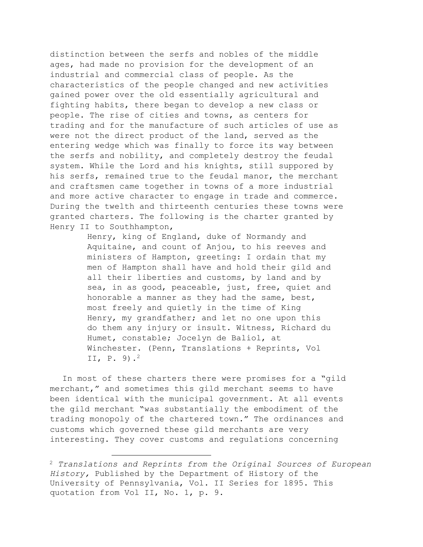distinction between the serfs and nobles of the middle ages, had made no provision for the development of an industrial and commercial class of people. As the characteristics of the people changed and new activities gained power over the old essentially agricultural and fighting habits, there began to develop a new class or people. The rise of cities and towns, as centers for trading and for the manufacture of such articles of use as were not the direct product of the land, served as the entering wedge which was finally to force its way between the serfs and nobility, and completely destroy the feudal system. While the Lord and his knights, still suppored by his serfs, remained true to the feudal manor, the merchant and craftsmen came together in towns of a more industrial and more active character to engage in trade and commerce. During the twelth and thirteenth centuries these towns were granted charters. The following is the charter granted by Henry II to Southhampton,

> Henry, king of England, duke of Normandy and Aquitaine, and count of Anjou, to his reeves and ministers of Hampton, greeting: I ordain that my men of Hampton shall have and hold their gild and all their liberties and customs, by land and by sea, in as good, peaceable, just, free, quiet and honorable a manner as they had the same, best, most freely and quietly in the time of King Henry, my grandfather; and let no one upon this do them any injury or insult. Witness, Richard du Humet, constable; Jocelyn de Baliol, at Winchester. (Penn, Translations + Reprints, Vol II, P. 9).2

In most of these charters there were promises for a "gild merchant," and sometimes this gild merchant seems to have been identical with the municipal government. At all events the gild merchant "was substantially the embodiment of the trading monopoly of the chartered town." The ordinances and customs which governed these gild merchants are very interesting. They cover customs and regulations concerning

<sup>2</sup> *Translations and Reprints from the Original Sources of European History,* Published by the Department of History of the University of Pennsylvania, Vol. II Series for 1895. This quotation from Vol II, No. 1, p. 9.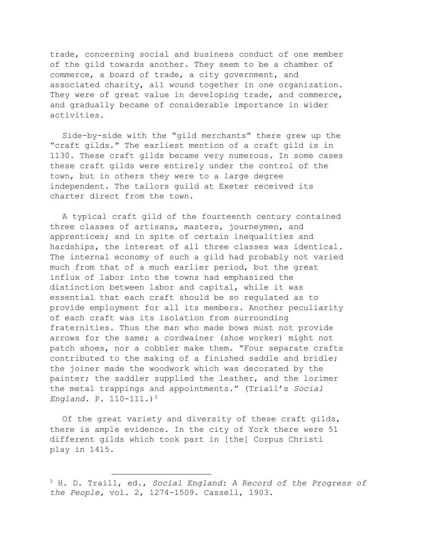trade, concerning social and business conduct of one member of the gild towards another. They seem to be a chamber of commerce, a board of trade, a city government, and associated charity, all wound together in one organization. They were of great value in developing trade, and commerce, and gradually became of considerable importance in wider activities.

Side-by-side with the "gild merchants" there grew up the "craft gilds." The earliest mention of a craft gild is in 1130. These craft gilds became very numerous. In some cases these craft gilds were entirely under the control of the town, but in others they were to a large degree independent. The tailors guild at Exeter received its charter direct from the town.

A typical craft gild of the fourteenth century contained three classes of artisans, masters, journeymen, and apprentices; and in spite of certain inequalities and hardships, the interest of all three classes was identical. The internal economy of such a gild had probably not varied much from that of a much earlier period, but the great influx of labor into the towns had emphasized the distinction between labor and capital, while it was essential that each craft should be so regulated as to provide employment for all its members. Another peculiarity of each craft was its isolation from surrounding fraternities. Thus the man who made bows must not provide arrows for the same; a cordwainer (shoe worker) might not patch shoes, nor a cobbler make them. "Four separate crafts contributed to the making of a finished saddle and bridle; the joiner made the woodwork which was decorated by the painter; the saddler supplied the leather, and the lorimer the metal trappings and appointments." (Triall's *Social England.* P. 110-111.)3

Of the great variety and diversity of these craft gilds, there is ample evidence. In the city of York there were 51 different gilds which took part in [the] Corpus Christi play in 1415.

<sup>3</sup> H. D. Traill, ed., *Social England: A Record of the Progress of the People,* vol. 2, 1274-1509. Cassell, 1903.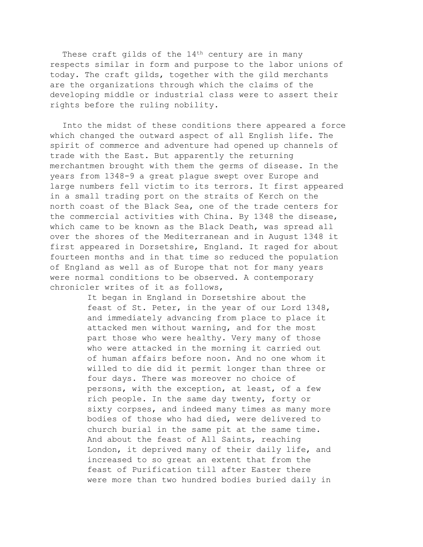These craft gilds of the 14<sup>th</sup> century are in many respects similar in form and purpose to the labor unions of today. The craft gilds, together with the gild merchants are the organizations through which the claims of the developing middle or industrial class were to assert their rights before the ruling nobility.

Into the midst of these conditions there appeared a force which changed the outward aspect of all English life. The spirit of commerce and adventure had opened up channels of trade with the East. But apparently the returning merchantmen brought with them the germs of disease. In the years from 1348-9 a great plague swept over Europe and large numbers fell victim to its terrors. It first appeared in a small trading port on the straits of Kerch on the north coast of the Black Sea, one of the trade centers for the commercial activities with China. By 1348 the disease, which came to be known as the Black Death, was spread all over the shores of the Mediterranean and in August 1348 it first appeared in Dorsetshire, England. It raged for about fourteen months and in that time so reduced the population of England as well as of Europe that not for many years were normal conditions to be observed. A contemporary chronicler writes of it as follows,

> It began in England in Dorsetshire about the feast of St. Peter, in the year of our Lord 1348, and immediately advancing from place to place it attacked men without warning, and for the most part those who were healthy. Very many of those who were attacked in the morning it carried out of human affairs before noon. And no one whom it willed to die did it permit longer than three or four days. There was moreover no choice of persons, with the exception, at least, of a few rich people. In the same day twenty, forty or sixty corpses, and indeed many times as many more bodies of those who had died, were delivered to church burial in the same pit at the same time. And about the feast of All Saints, reaching London, it deprived many of their daily life, and increased to so great an extent that from the feast of Purification till after Easter there were more than two hundred bodies buried daily in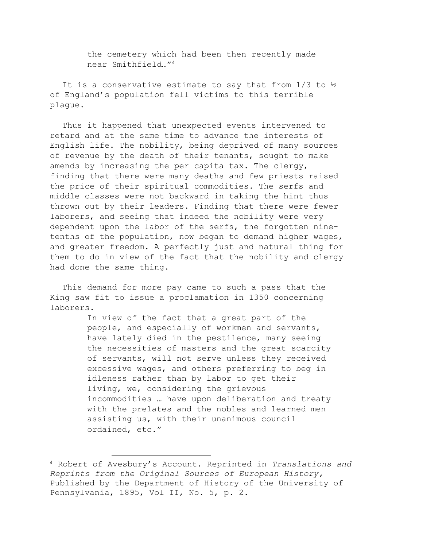the cemetery which had been then recently made near Smithfield…"4

It is a conservative estimate to say that from  $1/3$  to  $\frac{1}{2}$ of England's population fell victims to this terrible plague.

Thus it happened that unexpected events intervened to retard and at the same time to advance the interests of English life. The nobility, being deprived of many sources of revenue by the death of their tenants, sought to make amends by increasing the per capita tax. The clergy, finding that there were many deaths and few priests raised the price of their spiritual commodities. The serfs and middle classes were not backward in taking the hint thus thrown out by their leaders. Finding that there were fewer laborers, and seeing that indeed the nobility were very dependent upon the labor of the serfs, the forgotten ninetenths of the population, now began to demand higher wages, and greater freedom. A perfectly just and natural thing for them to do in view of the fact that the nobility and clergy had done the same thing.

This demand for more pay came to such a pass that the King saw fit to issue a proclamation in 1350 concerning laborers.

> In view of the fact that a great part of the people, and especially of workmen and servants, have lately died in the pestilence, many seeing the necessities of masters and the great scarcity of servants, will not serve unless they received excessive wages, and others preferring to beg in idleness rather than by labor to get their living, we, considering the grievous incommodities … have upon deliberation and treaty with the prelates and the nobles and learned men assisting us, with their unanimous council ordained, etc."

<sup>4</sup> Robert of Avesbury's Account. Reprinted in *Translations and Reprints from the Original Sources of European History,* Published by the Department of History of the University of Pennsylvania, 1895, Vol II, No. 5, p. 2.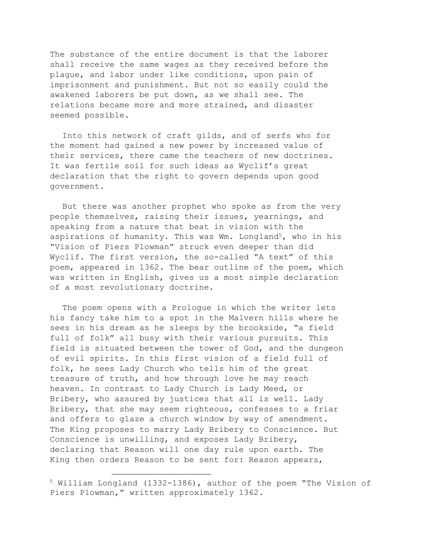The substance of the entire document is that the laborer shall receive the same wages as they received before the plague, and labor under like conditions, upon pain of imprisonment and punishment. But not so easily could the awakened laborers be put down, as we shall see. The relations became more and more strained, and disaster seemed possible.

Into this network of craft gilds, and of serfs who for the moment had gained a new power by increased value of their services, there came the teachers of new doctrines. It was fertile soil for such ideas as Wyclif's great declaration that the right to govern depends upon good government.

But there was another prophet who spoke as from the very people themselves, raising their issues, yearnings, and speaking from a nature that beat in vision with the aspirations of humanity. This was Wm. Longland<sup>5</sup>, who in his "Vision of Piers Plowman" struck even deeper than did Wyclif. The first version, the so-called "A text" of this poem, appeared in 1362. The bear outline of the poem, which was written in English, gives us a most simple declaration of a most revolutionary doctrine.

The poem opens with a Prologue in which the writer lets his fancy take him to a spot in the Malvern hills where he sees in his dream as he sleeps by the brookside, "a field full of folk" all busy with their various pursuits. This field is situated between the tower of God, and the dungeon of evil spirits. In this first vision of a field full of folk, he sees Lady Church who tells him of the great treasure of truth, and how through love he may reach heaven. In contrast to Lady Church is Lady Meed, or Bribery, who assured by justices that all is well. Lady Bribery, that she may seem righteous, confesses to a friar and offers to glaze a church window by way of amendment. The King proposes to marry Lady Bribery to Conscience. But Conscience is unwilling, and exposes Lady Bribery, declaring that Reason will one day rule upon earth. The King then orders Reason to be sent for: Reason appears,

<sup>5</sup> William Longland (1332-1386), author of the poem "The Vision of Piers Plowman," written approximately 1362.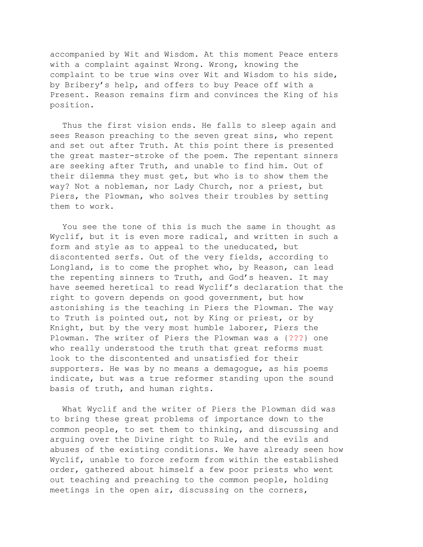accompanied by Wit and Wisdom. At this moment Peace enters with a complaint against Wrong. Wrong, knowing the complaint to be true wins over Wit and Wisdom to his side, by Bribery's help, and offers to buy Peace off with a Present. Reason remains firm and convinces the King of his position.

Thus the first vision ends. He falls to sleep again and sees Reason preaching to the seven great sins, who repent and set out after Truth. At this point there is presented the great master-stroke of the poem. The repentant sinners are seeking after Truth, and unable to find him. Out of their dilemma they must get, but who is to show them the way? Not a nobleman, nor Lady Church, nor a priest, but Piers, the Plowman, who solves their troubles by setting them to work.

You see the tone of this is much the same in thought as Wyclif, but it is even more radical, and written in such a form and style as to appeal to the uneducated, but discontented serfs. Out of the very fields, according to Longland, is to come the prophet who, by Reason, can lead the repenting sinners to Truth, and God's heaven. It may have seemed heretical to read Wyclif's declaration that the right to govern depends on good government, but how astonishing is the teaching in Piers the Plowman. The way to Truth is pointed out, not by King or priest, or by Knight, but by the very most humble laborer, Piers the Plowman. The writer of Piers the Plowman was a {???} one who really understood the truth that great reforms must look to the discontented and unsatisfied for their supporters. He was by no means a demagogue, as his poems indicate, but was a true reformer standing upon the sound basis of truth, and human rights.

What Wyclif and the writer of Piers the Plowman did was to bring these great problems of importance down to the common people, to set them to thinking, and discussing and arguing over the Divine right to Rule, and the evils and abuses of the existing conditions. We have already seen how Wyclif, unable to force reform from within the established order, gathered about himself a few poor priests who went out teaching and preaching to the common people, holding meetings in the open air, discussing on the corners,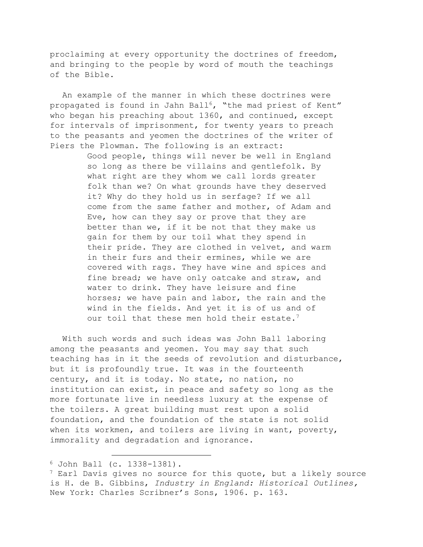proclaiming at every opportunity the doctrines of freedom, and bringing to the people by word of mouth the teachings of the Bible.

An example of the manner in which these doctrines were propagated is found in Jahn Ball<sup>6</sup>, "the mad priest of Kent" who began his preaching about 1360, and continued, except for intervals of imprisonment, for twenty years to preach to the peasants and yeomen the doctrines of the writer of Piers the Plowman. The following is an extract:

> Good people, things will never be well in England so long as there be villains and gentlefolk. By what right are they whom we call lords greater folk than we? On what grounds have they deserved it? Why do they hold us in serfage? If we all come from the same father and mother, of Adam and Eve, how can they say or prove that they are better than we, if it be not that they make us gain for them by our toil what they spend in their pride. They are clothed in velvet, and warm in their furs and their ermines, while we are covered with rags. They have wine and spices and fine bread; we have only oatcake and straw, and water to drink. They have leisure and fine horses; we have pain and labor, the rain and the wind in the fields. And yet it is of us and of our toil that these men hold their estate.<sup>7</sup>

With such words and such ideas was John Ball laboring among the peasants and yeomen. You may say that such teaching has in it the seeds of revolution and disturbance, but it is profoundly true. It was in the fourteenth century, and it is today. No state, no nation, no institution can exist, in peace and safety so long as the more fortunate live in needless luxury at the expense of the toilers. A great building must rest upon a solid foundation, and the foundation of the state is not solid when its workmen, and toilers are living in want, poverty, immorality and degradation and ignorance.

<sup>6</sup> John Ball (c. 1338-1381).

 $7$  Earl Davis gives no source for this quote, but a likely source is H. de B. Gibbins, *Industry in England: Historical Outlines,* New York: Charles Scribner's Sons, 1906. p. 163.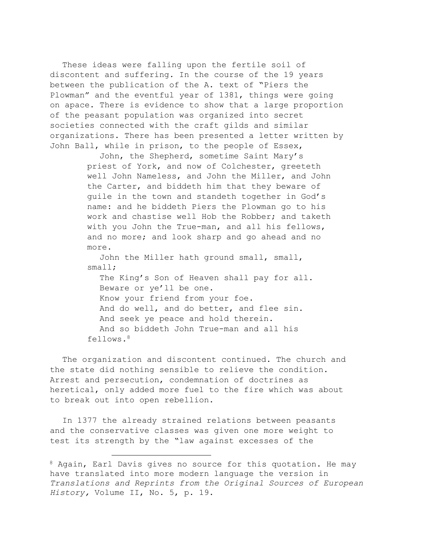These ideas were falling upon the fertile soil of discontent and suffering. In the course of the 19 years between the publication of the A. text of "Piers the Plowman" and the eventful year of 1381, things were going on apace. There is evidence to show that a large proportion of the peasant population was organized into secret societies connected with the craft gilds and similar organizations. There has been presented a letter written by John Ball, while in prison, to the people of Essex,

> John, the Shepherd, sometime Saint Mary's priest of York, and now of Colchester, greeteth well John Nameless, and John the Miller, and John the Carter, and biddeth him that they beware of guile in the town and standeth together in God's name: and he biddeth Piers the Plowman go to his work and chastise well Hob the Robber; and taketh with you John the True-man, and all his fellows, and no more; and look sharp and go ahead and no more.

John the Miller hath ground small, small, small; The King's Son of Heaven shall pay for all. Beware or ye'll be one. Know your friend from your foe. And do well, and do better, and flee sin. And seek ye peace and hold therein. And so biddeth John True-man and all his fellows.8

The organization and discontent continued. The church and the state did nothing sensible to relieve the condition. Arrest and persecution, condemnation of doctrines as heretical, only added more fuel to the fire which was about to break out into open rebellion.

In 1377 the already strained relations between peasants and the conservative classes was given one more weight to test its strength by the "law against excesses of the

<sup>&</sup>lt;sup>8</sup> Again, Earl Davis gives no source for this quotation. He may have translated into more modern language the version in *Translations and Reprints from the Original Sources of European History,* Volume II, No. 5, p. 19.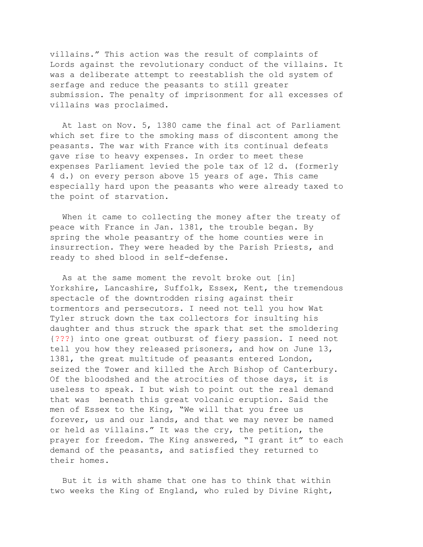villains." This action was the result of complaints of Lords against the revolutionary conduct of the villains. It was a deliberate attempt to reestablish the old system of serfage and reduce the peasants to still greater submission. The penalty of imprisonment for all excesses of villains was proclaimed.

At last on Nov. 5, 1380 came the final act of Parliament which set fire to the smoking mass of discontent among the peasants. The war with France with its continual defeats gave rise to heavy expenses. In order to meet these expenses Parliament levied the pole tax of 12 d. (formerly 4 d.) on every person above 15 years of age. This came especially hard upon the peasants who were already taxed to the point of starvation.

When it came to collecting the money after the treaty of peace with France in Jan. 1381, the trouble began. By spring the whole peasantry of the home counties were in insurrection. They were headed by the Parish Priests, and ready to shed blood in self-defense.

As at the same moment the revolt broke out [in] Yorkshire, Lancashire, Suffolk, Essex, Kent, the tremendous spectacle of the downtrodden rising against their tormentors and persecutors. I need not tell you how Wat Tyler struck down the tax collectors for insulting his daughter and thus struck the spark that set the smoldering {???} into one great outburst of fiery passion. I need not tell you how they released prisoners, and how on June 13, 1381, the great multitude of peasants entered London, seized the Tower and killed the Arch Bishop of Canterbury. Of the bloodshed and the atrocities of those days, it is useless to speak. I but wish to point out the real demand that was beneath this great volcanic eruption. Said the men of Essex to the King, "We will that you free us forever, us and our lands, and that we may never be named or held as villains." It was the cry, the petition, the prayer for freedom. The King answered, "I grant it" to each demand of the peasants, and satisfied they returned to their homes.

But it is with shame that one has to think that within two weeks the King of England, who ruled by Divine Right,